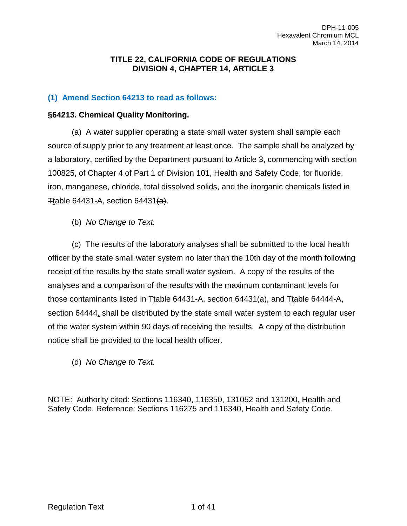#### **TITLE 22, CALIFORNIA CODE OF REGULATIONS DIVISION 4, CHAPTER 14, ARTICLE 3**

#### **(1) Amend Section 64213 to read as follows:**

#### **§64213. Chemical Quality Monitoring.**

(a) A water supplier operating a state small water system shall sample each source of supply prior to any treatment at least once. The sample shall be analyzed by a laboratory, certified by the Department pursuant to Article 3, commencing with section 100825, of Chapter 4 of Part 1 of Division 101, Health and Safety Code, for fluoride, iron, manganese, chloride, total dissolved solids, and the inorganic chemicals listed in Ttable 64431-A, section 64431 $(a)$ .

(b) *No Change to Text.*

(c) The results of the laboratory analyses shall be submitted to the local health officer by the state small water system no later than the 10th day of the month following receipt of the results by the state small water system. A copy of the results of the analyses and a comparison of the results with the maximum contaminant levels for those contaminants listed in  $\pm$ table 64431-A, section 64431 $(a)$ , and  $\pm$ table 64444-A, section 64444, shall be distributed by the state small water system to each regular user of the water system within 90 days of receiving the results. A copy of the distribution notice shall be provided to the local health officer.

(d) *No Change to Text.*

NOTE: Authority cited: Sections 116340, 116350, 131052 and 131200, Health and Safety Code. Reference: Sections 116275 and 116340, Health and Safety Code.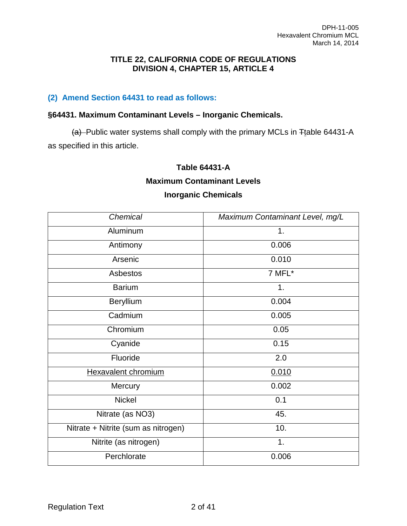#### **TITLE 22, CALIFORNIA CODE OF REGULATIONS DIVISION 4, CHAPTER 15, ARTICLE 4**

### **(2) Amend Section 64431 to read as follows:**

#### **§64431. Maximum Contaminant Levels – Inorganic Chemicals.**

 $(a)$ -Public water systems shall comply with the primary MCLs in  $F$ table 64431-A as specified in this article.

#### **Table 64431-A**

#### **Maximum Contaminant Levels**

#### **Inorganic Chemicals**

| Chemical                            | Maximum Contaminant Level, mg/L |
|-------------------------------------|---------------------------------|
| Aluminum                            | 1.                              |
| Antimony                            | 0.006                           |
| Arsenic                             | 0.010                           |
| Asbestos                            | 7 MFL*                          |
| <b>Barium</b>                       | 1.                              |
| Beryllium                           | 0.004                           |
| Cadmium                             | 0.005                           |
| Chromium                            | 0.05                            |
| Cyanide                             | 0.15                            |
| Fluoride                            | 2.0                             |
| <b>Hexavalent chromium</b>          | 0.010                           |
| Mercury                             | 0.002                           |
| <b>Nickel</b>                       | 0.1                             |
| Nitrate (as NO3)                    | 45.                             |
| Nitrate + Nitrite (sum as nitrogen) | 10.                             |
| Nitrite (as nitrogen)               | 1.                              |
| Perchlorate                         | 0.006                           |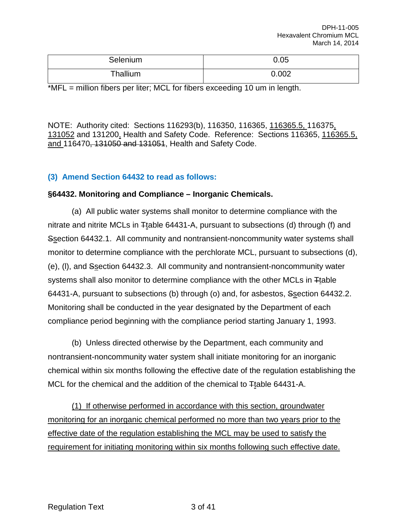| Selenium | 0.05  |
|----------|-------|
| Thallium | 0.002 |

\*MFL = million fibers per liter; MCL for fibers exceeding 10 um in length.

NOTE: Authority cited: Sections 116293(b), 116350, 116365, 116365.5, 116375, 131052 and 131200, Health and Safety Code. Reference: Sections 116365, 116365.5, and 116470, 131050 and 131051, Health and Safety Code.

#### **(3) Amend Section 64432 to read as follows:**

#### **§64432. Monitoring and Compliance – Inorganic Chemicals.**

(a) All public water systems shall monitor to determine compliance with the nitrate and nitrite MCLs in Ttable 64431-A, pursuant to subsections (d) through (f) and Ssection 64432.1. All community and nontransient-noncommunity water systems shall monitor to determine compliance with the perchlorate MCL, pursuant to subsections (d), (e), (l), and Ssection 64432.3. All community and nontransient-noncommunity water systems shall also monitor to determine compliance with the other MCLs in Ttable 64431-A, pursuant to subsections (b) through (o) and, for asbestos, Ssection 64432.2. Monitoring shall be conducted in the year designated by the Department of each compliance period beginning with the compliance period starting January 1, 1993.

(b) Unless directed otherwise by the Department, each community and nontransient-noncommunity water system shall initiate monitoring for an inorganic chemical within six months following the effective date of the regulation establishing the MCL for the chemical and the addition of the chemical to  $\pm$ table 64431-A.

(1) If otherwise performed in accordance with this section, groundwater monitoring for an inorganic chemical performed no more than two years prior to the effective date of the regulation establishing the MCL may be used to satisfy the requirement for initiating monitoring within six months following such effective date.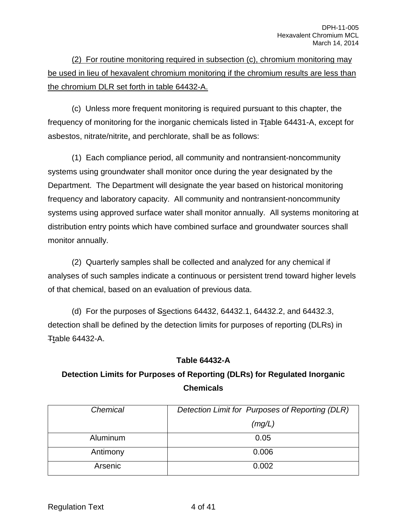(2) For routine monitoring required in subsection (c), chromium monitoring may be used in lieu of hexavalent chromium monitoring if the chromium results are less than the chromium DLR set forth in table 64432-A.

(c) Unless more frequent monitoring is required pursuant to this chapter, the frequency of monitoring for the inorganic chemicals listed in Ttable 64431-A, except for asbestos, nitrate/nitrite, and perchlorate, shall be as follows:

(1) Each compliance period, all community and nontransient-noncommunity systems using groundwater shall monitor once during the year designated by the Department. The Department will designate the year based on historical monitoring frequency and laboratory capacity. All community and nontransient-noncommunity systems using approved surface water shall monitor annually. All systems monitoring at distribution entry points which have combined surface and groundwater sources shall monitor annually.

(2) Quarterly samples shall be collected and analyzed for any chemical if analyses of such samples indicate a continuous or persistent trend toward higher levels of that chemical, based on an evaluation of previous data.

(d) For the purposes of Ssections 64432, 64432.1, 64432.2, and 64432.3, detection shall be defined by the detection limits for purposes of reporting (DLRs) in Ttable 64432-A.

#### **Table 64432-A**

## **Detection Limits for Purposes of Reporting (DLRs) for Regulated Inorganic Chemicals**

| Chemical | Detection Limit for Purposes of Reporting (DLR) |
|----------|-------------------------------------------------|
|          | (mg/L)                                          |
| Aluminum | 0.05                                            |
| Antimony | 0.006                                           |
| Arsenic  | 0.002                                           |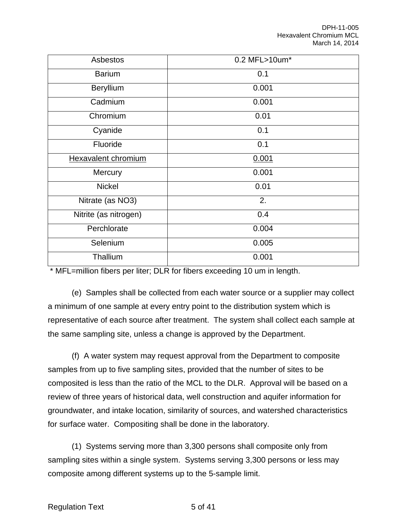| Asbestos                   | 0.2 MFL>10um* |
|----------------------------|---------------|
| <b>Barium</b>              | 0.1           |
| Beryllium                  | 0.001         |
| Cadmium                    | 0.001         |
| Chromium                   | 0.01          |
| Cyanide                    | 0.1           |
| Fluoride                   | 0.1           |
| <b>Hexavalent chromium</b> | 0.001         |
| Mercury                    | 0.001         |
| <b>Nickel</b>              | 0.01          |
| Nitrate (as NO3)           | 2.            |
| Nitrite (as nitrogen)      | 0.4           |
| Perchlorate                | 0.004         |
| Selenium                   | 0.005         |
| Thallium                   | 0.001         |

\* MFL=million fibers per liter; DLR for fibers exceeding 10 um in length.

(e) Samples shall be collected from each water source or a supplier may collect a minimum of one sample at every entry point to the distribution system which is representative of each source after treatment. The system shall collect each sample at the same sampling site, unless a change is approved by the Department.

(f) A water system may request approval from the Department to composite samples from up to five sampling sites, provided that the number of sites to be composited is less than the ratio of the MCL to the DLR. Approval will be based on a review of three years of historical data, well construction and aquifer information for groundwater, and intake location, similarity of sources, and watershed characteristics for surface water. Compositing shall be done in the laboratory.

(1) Systems serving more than 3,300 persons shall composite only from sampling sites within a single system. Systems serving 3,300 persons or less may composite among different systems up to the 5-sample limit.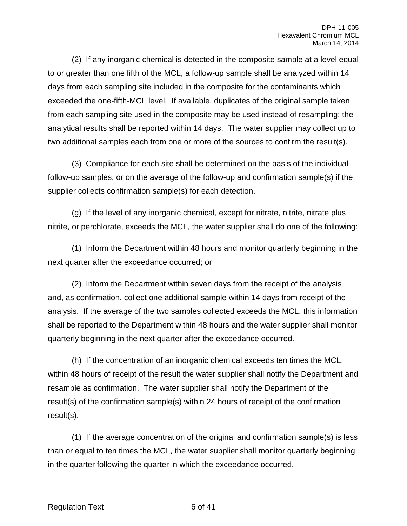(2) If any inorganic chemical is detected in the composite sample at a level equal to or greater than one fifth of the MCL, a follow-up sample shall be analyzed within 14 days from each sampling site included in the composite for the contaminants which exceeded the one-fifth-MCL level. If available, duplicates of the original sample taken from each sampling site used in the composite may be used instead of resampling; the analytical results shall be reported within 14 days. The water supplier may collect up to two additional samples each from one or more of the sources to confirm the result(s).

(3) Compliance for each site shall be determined on the basis of the individual follow-up samples, or on the average of the follow-up and confirmation sample(s) if the supplier collects confirmation sample(s) for each detection.

(g) If the level of any inorganic chemical, except for nitrate, nitrite, nitrate plus nitrite, or perchlorate, exceeds the MCL, the water supplier shall do one of the following:

(1) Inform the Department within 48 hours and monitor quarterly beginning in the next quarter after the exceedance occurred; or

(2) Inform the Department within seven days from the receipt of the analysis and, as confirmation, collect one additional sample within 14 days from receipt of the analysis. If the average of the two samples collected exceeds the MCL, this information shall be reported to the Department within 48 hours and the water supplier shall monitor quarterly beginning in the next quarter after the exceedance occurred.

(h) If the concentration of an inorganic chemical exceeds ten times the MCL, within 48 hours of receipt of the result the water supplier shall notify the Department and resample as confirmation. The water supplier shall notify the Department of the result(s) of the confirmation sample(s) within 24 hours of receipt of the confirmation result(s).

(1) If the average concentration of the original and confirmation sample(s) is less than or equal to ten times the MCL, the water supplier shall monitor quarterly beginning in the quarter following the quarter in which the exceedance occurred.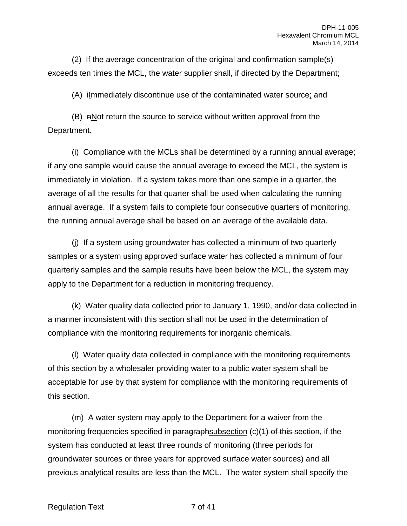(2) If the average concentration of the original and confirmation sample(s) exceeds ten times the MCL, the water supplier shall, if directed by the Department;

(A) iImmediately discontinue use of the contaminated water source; and

 $(B)$  nNot return the source to service without written approval from the Department.

(i) Compliance with the MCLs shall be determined by a running annual average; if any one sample would cause the annual average to exceed the MCL, the system is immediately in violation. If a system takes more than one sample in a quarter, the average of all the results for that quarter shall be used when calculating the running annual average. If a system fails to complete four consecutive quarters of monitoring, the running annual average shall be based on an average of the available data.

(j) If a system using groundwater has collected a minimum of two quarterly samples or a system using approved surface water has collected a minimum of four quarterly samples and the sample results have been below the MCL, the system may apply to the Department for a reduction in monitoring frequency.

(k) Water quality data collected prior to January 1, 1990, and/or data collected in a manner inconsistent with this section shall not be used in the determination of compliance with the monitoring requirements for inorganic chemicals.

(l) Water quality data collected in compliance with the monitoring requirements of this section by a wholesaler providing water to a public water system shall be acceptable for use by that system for compliance with the monitoring requirements of this section.

(m) A water system may apply to the Department for a waiver from the monitoring frequencies specified in paragraphsubsection  $(c)(1)$  of this section, if the system has conducted at least three rounds of monitoring (three periods for groundwater sources or three years for approved surface water sources) and all previous analytical results are less than the MCL. The water system shall specify the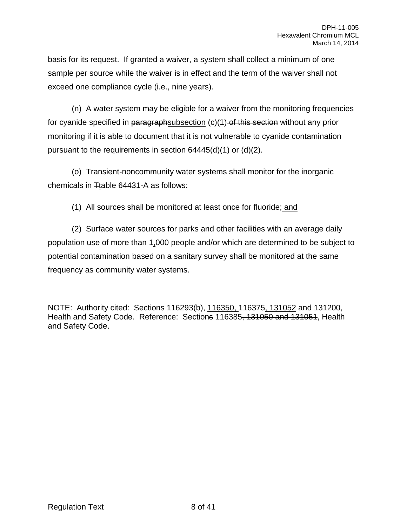basis for its request. If granted a waiver, a system shall collect a minimum of one sample per source while the waiver is in effect and the term of the waiver shall not exceed one compliance cycle (i.e., nine years).

(n) A water system may be eligible for a waiver from the monitoring frequencies for cyanide specified in paragraphsubsection  $(c)(1)$  of this section without any prior monitoring if it is able to document that it is not vulnerable to cyanide contamination pursuant to the requirements in section 64445(d)(1) or (d)(2).

(o) Transient-noncommunity water systems shall monitor for the inorganic chemicals in  $T$ table 64431-A as follows:

(1) All sources shall be monitored at least once for fluoride; and

(2) Surface water sources for parks and other facilities with an average daily population use of more than 1,000 people and/or which are determined to be subject to potential contamination based on a sanitary survey shall be monitored at the same frequency as community water systems.

NOTE: Authority cited: Sections 116293(b), 116350, 116375, 131052 and 131200, Health and Safety Code. Reference: Sections 116385, 131050 and 131051, Health and Safety Code.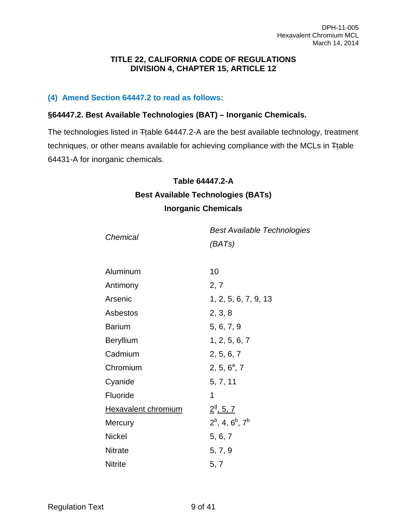#### **TITLE 22, CALIFORNIA CODE OF REGULATIONS DIVISION 4, CHAPTER 15, ARTICLE 12**

#### **(4) Amend Section 64447.2 to read as follows:**

#### **§64447.2. Best Available Technologies (BAT) – Inorganic Chemicals.**

The technologies listed in Ttable 64447.2-A are the best available technology, treatment techniques, or other means available for achieving compliance with the MCLs in Ttable 64431-A for inorganic chemicals.

#### **Table 64447.2-A**

## **Best Available Technologies (BATs) Inorganic Chemicals**

| Chemical                   | <b>Best Available Technologies</b><br>(BATs) |
|----------------------------|----------------------------------------------|
|                            |                                              |
| Aluminum                   | 10                                           |
| Antimony                   | 2, 7                                         |
| Arsenic                    | 1, 2, 5, 6, 7, 9, 13                         |
| Asbestos                   | 2, 3, 8                                      |
| <b>Barium</b>              | 5, 6, 7, 9                                   |
| <b>Beryllium</b>           | 1, 2, 5, 6, 7                                |
| Cadmium                    | 2, 5, 6, 7                                   |
| Chromium                   | $2, 5, 6^a, 7$                               |
| Cyanide                    | 5, 7, 11                                     |
| Fluoride                   | 1                                            |
| <b>Hexavalent chromium</b> | $2^{\underline{d}}$ , 5, 7                   |
| Mercury                    | $2^b$ , 4, $6^b$ , $7^b$                     |
| <b>Nickel</b>              | 5, 6, 7                                      |
| <b>Nitrate</b>             | 5, 7, 9                                      |
| <b>Nitrite</b>             | 5, 7                                         |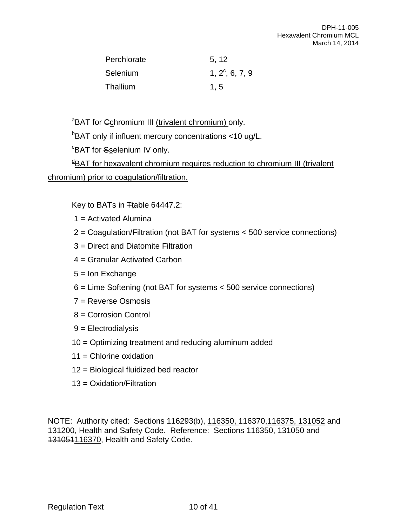| Perchlorate | 5, 12             |
|-------------|-------------------|
| Selenium    | $1, 2^c, 6, 7, 9$ |
| Thallium    | 1, 5              |

<sup>a</sup>BAT for Cchromium III (trivalent chromium) only.

<sup>b</sup>BAT only if influent mercury concentrations <10 ug/L.

<sup>c</sup>BAT for Sselenium IV only.

**BAT for hexavalent chromium requires reduction to chromium III (trivalent** chromium) prior to coagulation/filtration.

Key to BATs in Ttable 64447.2:

- 1 = Activated Alumina
- 2 = Coagulation/Filtration (not BAT for systems < 500 service connections)
- 3 = Direct and Diatomite Filtration
- 4 = Granular Activated Carbon
- 5 = Ion Exchange
- 6 = Lime Softening (not BAT for systems < 500 service connections)
- 7 = Reverse Osmosis
- 8 = Corrosion Control
- 9 = Electrodialysis
- 10 = Optimizing treatment and reducing aluminum added
- 11 = Chlorine oxidation
- 12 = Biological fluidized bed reactor
- 13 = Oxidation/Filtration

NOTE: Authority cited: Sections 116293(b), 116350, 116370, 116375, 131052 and 131200, Health and Safety Code. Reference: Sections 116350, 131050 and 131051116370, Health and Safety Code.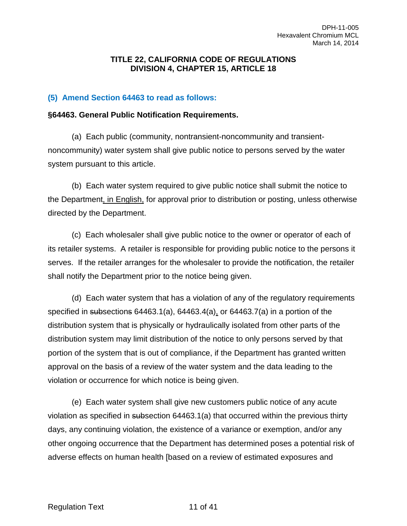#### **TITLE 22, CALIFORNIA CODE OF REGULATIONS DIVISION 4, CHAPTER 15, ARTICLE 18**

#### **(5) Amend Section 64463 to read as follows:**

#### **§64463. General Public Notification Requirements.**

(a) Each public (community, nontransient-noncommunity and transientnoncommunity) water system shall give public notice to persons served by the water system pursuant to this article.

(b) Each water system required to give public notice shall submit the notice to the Department, in English, for approval prior to distribution or posting, unless otherwise directed by the Department.

(c) Each wholesaler shall give public notice to the owner or operator of each of its retailer systems. A retailer is responsible for providing public notice to the persons it serves. If the retailer arranges for the wholesaler to provide the notification, the retailer shall notify the Department prior to the notice being given.

(d) Each water system that has a violation of any of the regulatory requirements specified in subsections 64463.1(a), 64463.4(a), or 64463.7(a) in a portion of the distribution system that is physically or hydraulically isolated from other parts of the distribution system may limit distribution of the notice to only persons served by that portion of the system that is out of compliance, if the Department has granted written approval on the basis of a review of the water system and the data leading to the violation or occurrence for which notice is being given.

(e) Each water system shall give new customers public notice of any acute violation as specified in subsection 64463.1(a) that occurred within the previous thirty days, any continuing violation, the existence of a variance or exemption, and/or any other ongoing occurrence that the Department has determined poses a potential risk of adverse effects on human health [based on a review of estimated exposures and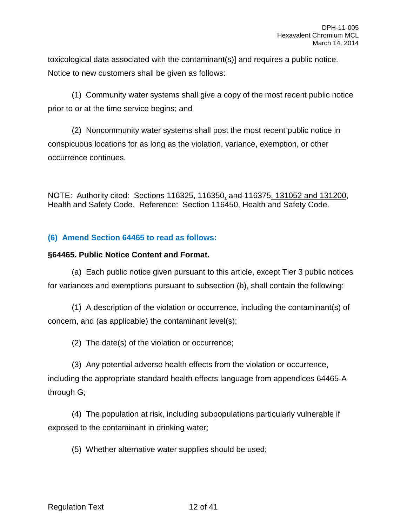toxicological data associated with the contaminant(s)] and requires a public notice. Notice to new customers shall be given as follows:

(1) Community water systems shall give a copy of the most recent public notice prior to or at the time service begins; and

(2) Noncommunity water systems shall post the most recent public notice in conspicuous locations for as long as the violation, variance, exemption, or other occurrence continues.

NOTE: Authority cited: Sections 116325, 116350, and 116375, 131052 and 131200, Health and Safety Code. Reference: Section 116450, Health and Safety Code.

## **(6) Amend Section 64465 to read as follows:**

#### **§64465. Public Notice Content and Format.**

(a) Each public notice given pursuant to this article, except Tier 3 public notices for variances and exemptions pursuant to subsection (b), shall contain the following:

(1) A description of the violation or occurrence, including the contaminant(s) of concern, and (as applicable) the contaminant level(s);

(2) The date(s) of the violation or occurrence;

(3) Any potential adverse health effects from the violation or occurrence, including the appropriate standard health effects language from appendices 64465-A through G;

(4) The population at risk, including subpopulations particularly vulnerable if exposed to the contaminant in drinking water;

(5) Whether alternative water supplies should be used;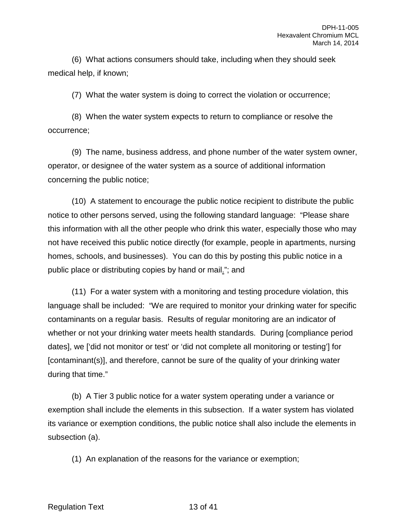(6) What actions consumers should take, including when they should seek medical help, if known;

(7) What the water system is doing to correct the violation or occurrence;

(8) When the water system expects to return to compliance or resolve the occurrence;

(9) The name, business address, and phone number of the water system owner, operator, or designee of the water system as a source of additional information concerning the public notice;

(10) A statement to encourage the public notice recipient to distribute the public notice to other persons served, using the following standard language: "Please share this information with all the other people who drink this water, especially those who may not have received this public notice directly (for example, people in apartments, nursing homes, schools, and businesses). You can do this by posting this public notice in a public place or distributing copies by hand or mail."; and

(11) For a water system with a monitoring and testing procedure violation, this language shall be included: "We are required to monitor your drinking water for specific contaminants on a regular basis. Results of regular monitoring are an indicator of whether or not your drinking water meets health standards. During [compliance period dates], we ['did not monitor or test' or 'did not complete all monitoring or testing'] for [contaminant(s)], and therefore, cannot be sure of the quality of your drinking water during that time."

(b) A Tier 3 public notice for a water system operating under a variance or exemption shall include the elements in this subsection. If a water system has violated its variance or exemption conditions, the public notice shall also include the elements in subsection (a).

(1) An explanation of the reasons for the variance or exemption;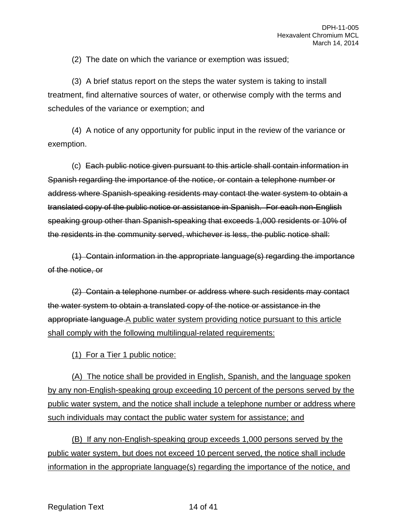(2) The date on which the variance or exemption was issued;

(3) A brief status report on the steps the water system is taking to install treatment, find alternative sources of water, or otherwise comply with the terms and schedules of the variance or exemption; and

(4) A notice of any opportunity for public input in the review of the variance or exemption.

(c) Each public notice given pursuant to this article shall contain information in Spanish regarding the importance of the notice, or contain a telephone number or address where Spanish-speaking residents may contact the water system to obtain a translated copy of the public notice or assistance in Spanish. For each non-English speaking group other than Spanish-speaking that exceeds 1,000 residents or 10% of the residents in the community served, whichever is less, the public notice shall:

(1) Contain information in the appropriate language(s) regarding the importance of the notice, or

(2) Contain a telephone number or address where such residents may contact the water system to obtain a translated copy of the notice or assistance in the appropriate language.A public water system providing notice pursuant to this article shall comply with the following multilingual-related requirements:

(1) For a Tier 1 public notice:

(A) The notice shall be provided in English, Spanish, and the language spoken by any non-English-speaking group exceeding 10 percent of the persons served by the public water system, and the notice shall include a telephone number or address where such individuals may contact the public water system for assistance; and

(B) If any non-English-speaking group exceeds 1,000 persons served by the public water system, but does not exceed 10 percent served, the notice shall include information in the appropriate language(s) regarding the importance of the notice, and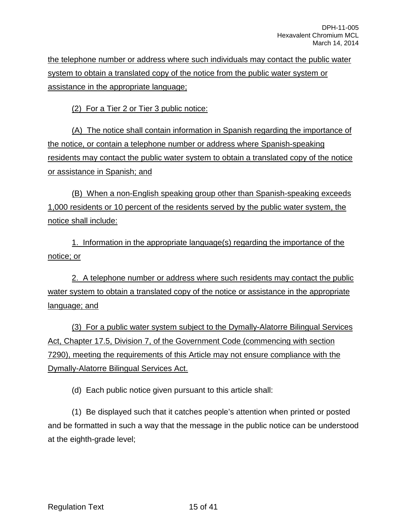the telephone number or address where such individuals may contact the public water system to obtain a translated copy of the notice from the public water system or assistance in the appropriate language;

(2) For a Tier 2 or Tier 3 public notice:

(A) The notice shall contain information in Spanish regarding the importance of the notice, or contain a telephone number or address where Spanish-speaking residents may contact the public water system to obtain a translated copy of the notice or assistance in Spanish; and

(B) When a non-English speaking group other than Spanish-speaking exceeds 1,000 residents or 10 percent of the residents served by the public water system, the notice shall include:

1. Information in the appropriate language(s) regarding the importance of the notice; or

2. A telephone number or address where such residents may contact the public water system to obtain a translated copy of the notice or assistance in the appropriate language; and

(3) For a public water system subject to the Dymally-Alatorre Bilingual Services Act, Chapter 17.5, Division 7, of the Government Code (commencing with section 7290), meeting the requirements of this Article may not ensure compliance with the Dymally-Alatorre Bilingual Services Act.

(d) Each public notice given pursuant to this article shall:

(1) Be displayed such that it catches people's attention when printed or posted and be formatted in such a way that the message in the public notice can be understood at the eighth-grade level;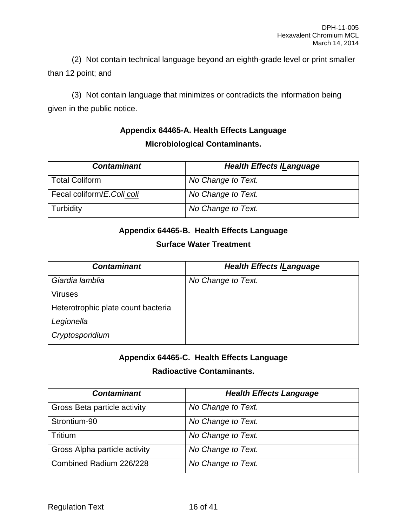(2) Not contain technical language beyond an eighth-grade level or print smaller than 12 point; and

(3) Not contain language that minimizes or contradicts the information being given in the public notice.

## **Appendix 64465-A. Health Effects Language Microbiological Contaminants.**

| <b>Contaminant</b>         | <b>Health Effects ILanguage</b> |
|----------------------------|---------------------------------|
| <b>Total Coliform</b>      | No Change to Text.              |
| Fecal coliform/E.Coli coli | No Change to Text.              |
| Turbidity                  | No Change to Text.              |

## **Appendix 64465-B. Health Effects Language**

## **Surface Water Treatment**

| <b>Contaminant</b>                 | <b>Health Effects ILanguage</b> |
|------------------------------------|---------------------------------|
| Giardia lamblia                    | No Change to Text.              |
| <b>Viruses</b>                     |                                 |
| Heterotrophic plate count bacteria |                                 |
| Legionella                         |                                 |
| Cryptosporidium                    |                                 |

## **Appendix 64465-C. Health Effects Language**

## **Radioactive Contaminants.**

| <b>Contaminant</b>            | <b>Health Effects Language</b> |
|-------------------------------|--------------------------------|
| Gross Beta particle activity  | No Change to Text.             |
| Strontium-90                  | No Change to Text.             |
| Tritium                       | No Change to Text.             |
| Gross Alpha particle activity | No Change to Text.             |
| Combined Radium 226/228       | No Change to Text.             |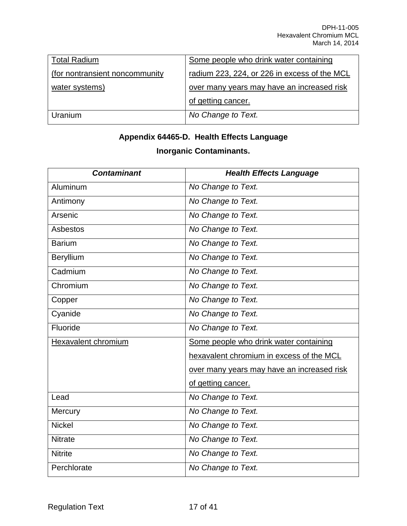| <b>Total Radium</b>             | Some people who drink water containing       |
|---------------------------------|----------------------------------------------|
| (for nontransient noncommunity) | radium 223, 224, or 226 in excess of the MCL |
| water systems)                  | over many years may have an increased risk   |
|                                 | of getting cancer.                           |
| Uranium                         | No Change to Text.                           |

# **Appendix 64465-D. Health Effects Language Inorganic Contaminants.**

| <b>Contaminant</b>         | <b>Health Effects Language</b>             |
|----------------------------|--------------------------------------------|
| Aluminum                   | No Change to Text.                         |
| Antimony                   | No Change to Text.                         |
| Arsenic                    | No Change to Text.                         |
| Asbestos                   | No Change to Text.                         |
| <b>Barium</b>              | No Change to Text.                         |
| Beryllium                  | No Change to Text.                         |
| Cadmium                    | No Change to Text.                         |
| Chromium                   | No Change to Text.                         |
| Copper                     | No Change to Text.                         |
| Cyanide                    | No Change to Text.                         |
| Fluoride                   | No Change to Text.                         |
| <b>Hexavalent chromium</b> | Some people who drink water containing     |
|                            | hexavalent chromium in excess of the MCL   |
|                            | over many years may have an increased risk |
|                            | of getting cancer.                         |
| Lead                       | No Change to Text.                         |
| Mercury                    | No Change to Text.                         |
| <b>Nickel</b>              | No Change to Text.                         |
| <b>Nitrate</b>             | No Change to Text.                         |
| <b>Nitrite</b>             | No Change to Text.                         |
| Perchlorate                | No Change to Text.                         |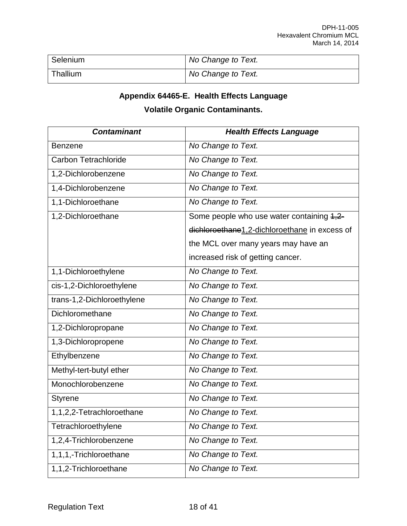| Selenium | No Change to Text. |
|----------|--------------------|
| Thallium | No Change to Text. |

## **Appendix 64465-E. Health Effects Language**

## **Volatile Organic Contaminants.**

| <b>Contaminant</b>          | <b>Health Effects Language</b>                |
|-----------------------------|-----------------------------------------------|
| <b>Benzene</b>              | No Change to Text.                            |
| <b>Carbon Tetrachloride</b> | No Change to Text.                            |
| 1,2-Dichlorobenzene         | No Change to Text.                            |
| 1,4-Dichlorobenzene         | No Change to Text.                            |
| 1,1-Dichloroethane          | No Change to Text.                            |
| 1,2-Dichloroethane          | Some people who use water containing 4,2-     |
|                             | dichloroethane1,2-dichloroethane in excess of |
|                             | the MCL over many years may have an           |
|                             | increased risk of getting cancer.             |
| 1,1-Dichloroethylene        | No Change to Text.                            |
| cis-1,2-Dichloroethylene    | No Change to Text.                            |
| trans-1,2-Dichloroethylene  | No Change to Text.                            |
| Dichloromethane             | No Change to Text.                            |
| 1,2-Dichloropropane         | No Change to Text.                            |
| 1,3-Dichloropropene         | No Change to Text.                            |
| Ethylbenzene                | No Change to Text.                            |
| Methyl-tert-butyl ether     | No Change to Text.                            |
| Monochlorobenzene           | No Change to Text.                            |
| <b>Styrene</b>              | No Change to Text.                            |
| 1,1,2,2-Tetrachloroethane   | No Change to Text.                            |
| Tetrachloroethylene         | No Change to Text.                            |
| 1,2,4-Trichlorobenzene      | No Change to Text.                            |
| 1,1,1,-Trichloroethane      | No Change to Text.                            |
| 1,1,2-Trichloroethane       | No Change to Text.                            |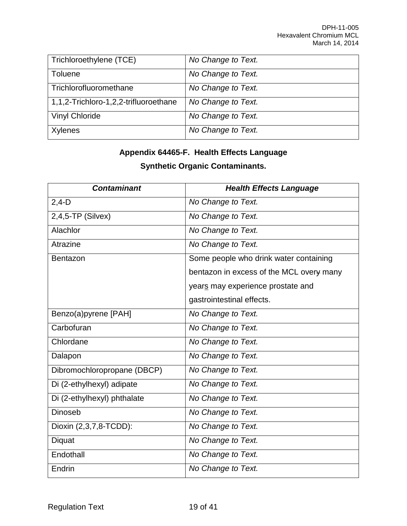| Trichloroethylene (TCE)               | No Change to Text. |
|---------------------------------------|--------------------|
| <b>Toluene</b>                        | No Change to Text. |
| Trichlorofluoromethane                | No Change to Text. |
| 1,1,2-Trichloro-1,2,2-trifluoroethane | No Change to Text. |
| <b>Vinyl Chloride</b>                 | No Change to Text. |
| Xylenes                               | No Change to Text. |

## **Appendix 64465-F. Health Effects Language**

## **Synthetic Organic Contaminants.**

| <b>Contaminant</b>          | <b>Health Effects Language</b>           |
|-----------------------------|------------------------------------------|
| $2,4-D$                     | No Change to Text.                       |
| $2,4,5$ -TP (Silvex)        | No Change to Text.                       |
| Alachlor                    | No Change to Text.                       |
| Atrazine                    | No Change to Text.                       |
| Bentazon                    | Some people who drink water containing   |
|                             | bentazon in excess of the MCL overy many |
|                             | years may experience prostate and        |
|                             | gastrointestinal effects.                |
| Benzo(a)pyrene [PAH]        | No Change to Text.                       |
| Carbofuran                  | No Change to Text.                       |
| Chlordane                   | No Change to Text.                       |
| Dalapon                     | No Change to Text.                       |
| Dibromochloropropane (DBCP) | No Change to Text.                       |
| Di (2-ethylhexyl) adipate   | No Change to Text.                       |
| Di (2-ethylhexyl) phthalate | No Change to Text.                       |
| <b>Dinoseb</b>              | No Change to Text.                       |
| Dioxin (2,3,7,8-TCDD):      | No Change to Text.                       |
| Diquat                      | No Change to Text.                       |
| Endothall                   | No Change to Text.                       |
| Endrin                      | No Change to Text.                       |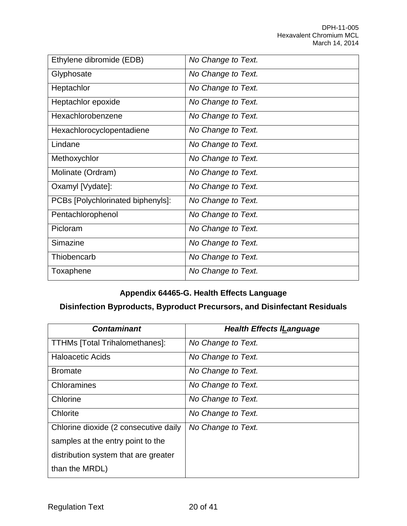| Ethylene dibromide (EDB)          | No Change to Text. |
|-----------------------------------|--------------------|
| Glyphosate                        | No Change to Text. |
| Heptachlor                        | No Change to Text. |
| Heptachlor epoxide                | No Change to Text. |
| Hexachlorobenzene                 | No Change to Text. |
| Hexachlorocyclopentadiene         | No Change to Text. |
| Lindane                           | No Change to Text. |
| Methoxychlor                      | No Change to Text. |
| Molinate (Ordram)                 | No Change to Text. |
| Oxamyl [Vydate]:                  | No Change to Text. |
| PCBs [Polychlorinated biphenyls]: | No Change to Text. |
| Pentachlorophenol                 | No Change to Text. |
| Picloram                          | No Change to Text. |
| Simazine                          | No Change to Text. |
| Thiobencarb                       | No Change to Text. |
| Toxaphene                         | No Change to Text. |

## **Appendix 64465-G. Health Effects Language**

## **Disinfection Byproducts, Byproduct Precursors, and Disinfectant Residuals**

| <b>Contaminant</b>                    | <b>Health Effects ILanguage</b> |
|---------------------------------------|---------------------------------|
| <b>TTHMs [Total Trihalomethanes]:</b> | No Change to Text.              |
| <b>Haloacetic Acids</b>               | No Change to Text.              |
| <b>Bromate</b>                        | No Change to Text.              |
| Chloramines                           | No Change to Text.              |
| Chlorine                              | No Change to Text.              |
| Chlorite                              | No Change to Text.              |
| Chlorine dioxide (2 consecutive daily | No Change to Text.              |
| samples at the entry point to the     |                                 |
| distribution system that are greater  |                                 |
| than the MRDL)                        |                                 |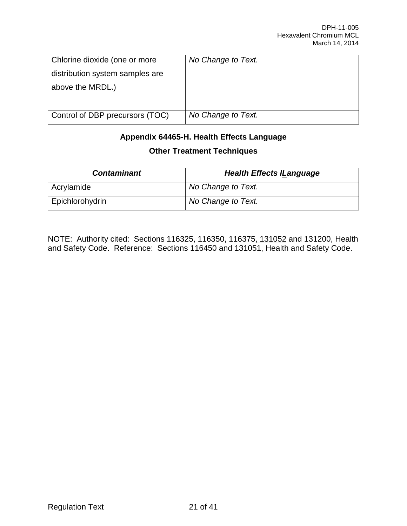| Chlorine dioxide (one or more   | No Change to Text. |
|---------------------------------|--------------------|
| distribution system samples are |                    |
| above the MRDL.)                |                    |
|                                 |                    |
| Control of DBP precursors (TOC) | No Change to Text. |

## **Appendix 64465-H. Health Effects Language Other Treatment Techniques**

| <b>Contaminant</b> | <b>Health Effects ILanguage</b> |
|--------------------|---------------------------------|
| Acrylamide         | No Change to Text.              |
| Epichlorohydrin    | No Change to Text.              |

NOTE: Authority cited: Sections 116325, 116350, 116375, 131052 and 131200, Health and Safety Code. Reference: Sections 116450 and 131051, Health and Safety Code.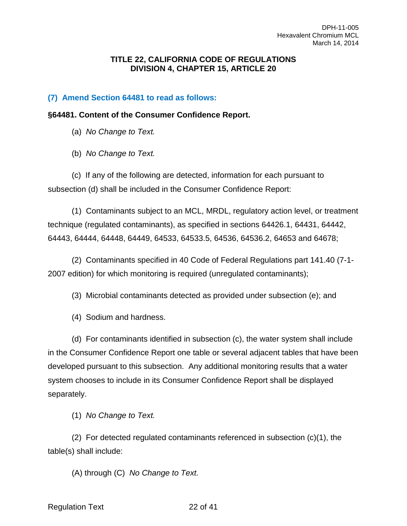#### **TITLE 22, CALIFORNIA CODE OF REGULATIONS DIVISION 4, CHAPTER 15, ARTICLE 20**

#### **(7) Amend Section 64481 to read as follows:**

#### **§64481. Content of the Consumer Confidence Report.**

(a) *No Change to Text.*

(b) *No Change to Text.*

(c) If any of the following are detected, information for each pursuant to subsection (d) shall be included in the Consumer Confidence Report:

(1) Contaminants subject to an MCL, MRDL, regulatory action level, or treatment technique (regulated contaminants), as specified in sections 64426.1, 64431, 64442, 64443, 64444, 64448, 64449, 64533, 64533.5, 64536, 64536.2, 64653 and 64678;

(2) Contaminants specified in 40 Code of Federal Regulations part 141.40 (7-1- 2007 edition) for which monitoring is required (unregulated contaminants);

(3) Microbial contaminants detected as provided under subsection (e); and

(4) Sodium and hardness.

(d) For contaminants identified in subsection (c), the water system shall include in the Consumer Confidence Report one table or several adjacent tables that have been developed pursuant to this subsection. Any additional monitoring results that a water system chooses to include in its Consumer Confidence Report shall be displayed separately.

(1) *No Change to Text.*

(2) For detected regulated contaminants referenced in subsection (c)(1), the table(s) shall include:

(A) through (C) *No Change to Text.*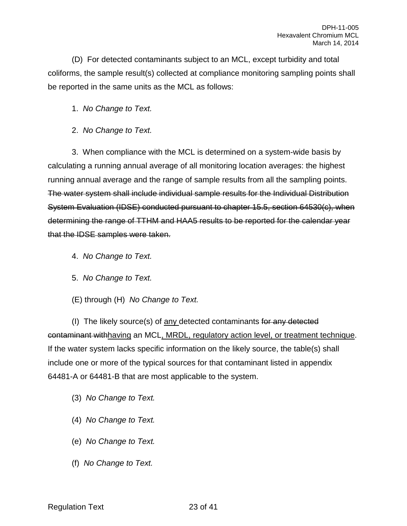(D) For detected contaminants subject to an MCL, except turbidity and total coliforms, the sample result(s) collected at compliance monitoring sampling points shall be reported in the same units as the MCL as follows:

1. *No Change to Text.*

2. *No Change to Text.*

3. When compliance with the MCL is determined on a system-wide basis by calculating a running annual average of all monitoring location averages: the highest running annual average and the range of sample results from all the sampling points. The water system shall include individual sample results for the Individual Distribution System Evaluation (IDSE) conducted pursuant to chapter 15.5, section 64530(c), when determining the range of TTHM and HAA5 results to be reported for the calendar year that the IDSE samples were taken.

- 4. *No Change to Text.*
- 5. *No Change to Text.*
- (E) through (H) *No Change to Text.*

(I) The likely source(s) of any detected contaminants for any detected contaminant withhaving an MCL, MRDL, regulatory action level, or treatment technique. If the water system lacks specific information on the likely source, the table(s) shall include one or more of the typical sources for that contaminant listed in appendix 64481-A or 64481-B that are most applicable to the system.

- (3) *No Change to Text.*
- (4) *No Change to Text.*
- (e) *No Change to Text.*
- (f) *No Change to Text.*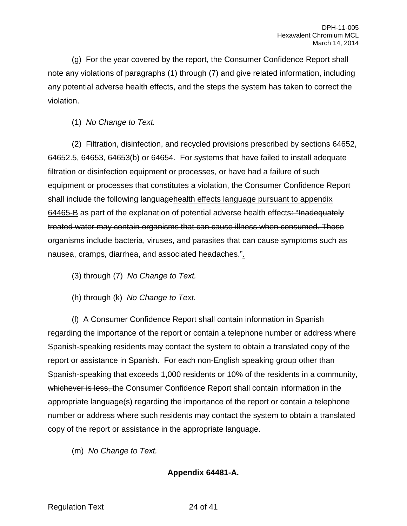(g) For the year covered by the report, the Consumer Confidence Report shall note any violations of paragraphs (1) through (7) and give related information, including any potential adverse health effects, and the steps the system has taken to correct the violation.

(1) *No Change to Text.*

(2) Filtration, disinfection, and recycled provisions prescribed by sections 64652, 64652.5, 64653, 64653(b) or 64654. For systems that have failed to install adequate filtration or disinfection equipment or processes, or have had a failure of such equipment or processes that constitutes a violation, the Consumer Confidence Report shall include the following languagehealth effects language pursuant to appendix 64465-B as part of the explanation of potential adverse health effects: "Inadequately treated water may contain organisms that can cause illness when consumed. These organisms include bacteria, viruses, and parasites that can cause symptoms such as nausea, cramps, diarrhea, and associated headaches.".

(3) through (7) *No Change to Text.*

(h) through (k) *No Change to Text.*

(l) A Consumer Confidence Report shall contain information in Spanish regarding the importance of the report or contain a telephone number or address where Spanish-speaking residents may contact the system to obtain a translated copy of the report or assistance in Spanish. For each non-English speaking group other than Spanish-speaking that exceeds 1,000 residents or 10% of the residents in a community, whichever is less, the Consumer Confidence Report shall contain information in the appropriate language(s) regarding the importance of the report or contain a telephone number or address where such residents may contact the system to obtain a translated copy of the report or assistance in the appropriate language.

(m) *No Change to Text.*

**Appendix 64481-A.**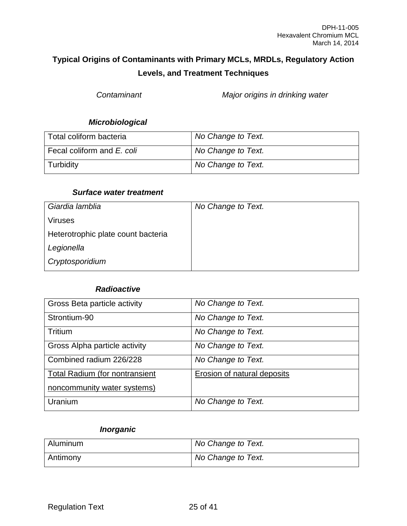## **Typical Origins of Contaminants with Primary MCLs, MRDLs, Regulatory Action Levels, and Treatment Techniques**

*Contaminant Major origins in drinking water*

### *Microbiological*

| Total coliform bacteria    | No Change to Text. |
|----------------------------|--------------------|
| Fecal coliform and E. coli | No Change to Text. |
| Turbidity                  | No Change to Text. |

#### *Surface water treatment*

| Giardia lamblia                    | No Change to Text. |
|------------------------------------|--------------------|
| <b>Viruses</b>                     |                    |
| Heterotrophic plate count bacteria |                    |
| Legionella                         |                    |
| Cryptosporidium                    |                    |

#### *Radioactive*

| Gross Beta particle activity          | No Change to Text.                 |
|---------------------------------------|------------------------------------|
| Strontium-90                          | No Change to Text.                 |
| Tritium                               | No Change to Text.                 |
| Gross Alpha particle activity         | No Change to Text.                 |
| Combined radium 226/228               | No Change to Text.                 |
| <b>Total Radium (for nontransient</b> | <b>Erosion of natural deposits</b> |
| noncommunity water systems)           |                                    |
| Uranium                               | No Change to Text.                 |

## *Inorganic*

| Aluminum | No Change to Text. |
|----------|--------------------|
| Antimony | No Change to Text. |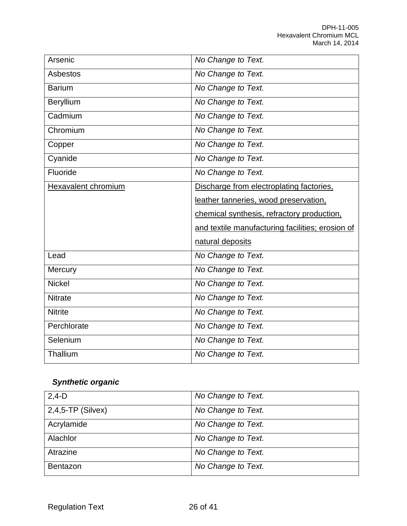| Arsenic             | No Change to Text.                               |
|---------------------|--------------------------------------------------|
| <b>Asbestos</b>     | No Change to Text.                               |
| <b>Barium</b>       | No Change to Text.                               |
| Beryllium           | No Change to Text.                               |
| Cadmium             | No Change to Text.                               |
| Chromium            | No Change to Text.                               |
| Copper              | No Change to Text.                               |
| Cyanide             | No Change to Text.                               |
| Fluoride            | No Change to Text.                               |
| Hexavalent chromium | Discharge from electroplating factories.         |
|                     | leather tanneries, wood preservation,            |
|                     |                                                  |
|                     | chemical synthesis, refractory production,       |
|                     | and textile manufacturing facilities; erosion of |
|                     | natural deposits                                 |
| Lead                | No Change to Text.                               |
| Mercury             | No Change to Text.                               |
| <b>Nickel</b>       | No Change to Text.                               |
| <b>Nitrate</b>      | No Change to Text.                               |
| <b>Nitrite</b>      | No Change to Text.                               |
| Perchlorate         | No Change to Text.                               |
| Selenium            | No Change to Text.                               |

# *Synthetic organic*

| $2,4-D$              | No Change to Text. |
|----------------------|--------------------|
| $2,4,5$ -TP (Silvex) | No Change to Text. |
| Acrylamide           | No Change to Text. |
| Alachlor             | No Change to Text. |
| Atrazine             | No Change to Text. |
| <b>Bentazon</b>      | No Change to Text. |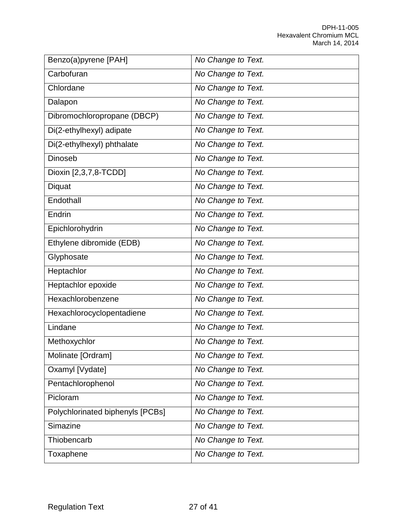| Benzo(a)pyrene [PAH]             | No Change to Text. |
|----------------------------------|--------------------|
| Carbofuran                       | No Change to Text. |
| Chlordane                        | No Change to Text. |
| Dalapon                          | No Change to Text. |
| Dibromochloropropane (DBCP)      | No Change to Text. |
| Di(2-ethylhexyl) adipate         | No Change to Text. |
| Di(2-ethylhexyl) phthalate       | No Change to Text. |
| <b>Dinoseb</b>                   | No Change to Text. |
| Dioxin [2,3,7,8-TCDD]            | No Change to Text. |
| Diquat                           | No Change to Text. |
| Endothall                        | No Change to Text. |
| Endrin                           | No Change to Text. |
| Epichlorohydrin                  | No Change to Text. |
| Ethylene dibromide (EDB)         | No Change to Text. |
| Glyphosate                       | No Change to Text. |
| Heptachlor                       | No Change to Text. |
| Heptachlor epoxide               | No Change to Text. |
| Hexachlorobenzene                | No Change to Text. |
| Hexachlorocyclopentadiene        | No Change to Text. |
| Lindane                          | No Change to Text. |
| Methoxychlor                     | No Change to Text. |
| Molinate [Ordram]                | No Change to Text. |
| Oxamyl [Vydate]                  | No Change to Text. |
| Pentachlorophenol                | No Change to Text. |
| Picloram                         | No Change to Text. |
| Polychlorinated biphenyls [PCBs] | No Change to Text. |
| Simazine                         | No Change to Text. |
| Thiobencarb                      | No Change to Text. |
| Toxaphene                        | No Change to Text. |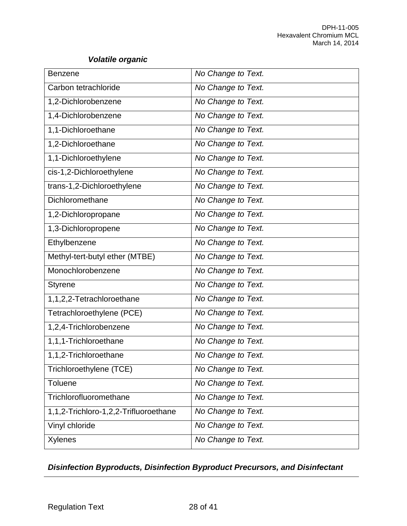## *Volatile organic*

| <b>Benzene</b>                        | No Change to Text. |
|---------------------------------------|--------------------|
| Carbon tetrachloride                  | No Change to Text. |
| 1,2-Dichlorobenzene                   | No Change to Text. |
| 1,4-Dichlorobenzene                   | No Change to Text. |
| 1,1-Dichloroethane                    | No Change to Text. |
| 1,2-Dichloroethane                    | No Change to Text. |
| 1,1-Dichloroethylene                  | No Change to Text. |
| cis-1,2-Dichloroethylene              | No Change to Text. |
| trans-1,2-Dichloroethylene            | No Change to Text. |
| Dichloromethane                       | No Change to Text. |
| 1,2-Dichloropropane                   | No Change to Text. |
| 1,3-Dichloropropene                   | No Change to Text. |
| Ethylbenzene                          | No Change to Text. |
| Methyl-tert-butyl ether (MTBE)        | No Change to Text. |
| Monochlorobenzene                     | No Change to Text. |
| <b>Styrene</b>                        | No Change to Text. |
| 1,1,2,2-Tetrachloroethane             | No Change to Text. |
| Tetrachloroethylene (PCE)             | No Change to Text. |
| 1,2,4-Trichlorobenzene                | No Change to Text. |
| 1,1,1-Trichloroethane                 | No Change to Text. |
| 1,1,2-Trichloroethane                 | No Change to Text. |
| Trichloroethylene (TCE)               | No Change to Text. |
| <b>Toluene</b>                        | No Change to Text. |
| Trichlorofluoromethane                | No Change to Text. |
| 1,1,2-Trichloro-1,2,2-Trifluoroethane | No Change to Text. |
| Vinyl chloride                        | No Change to Text. |
| <b>Xylenes</b>                        | No Change to Text. |

## *Disinfection Byproducts, Disinfection Byproduct Precursors, and Disinfectant*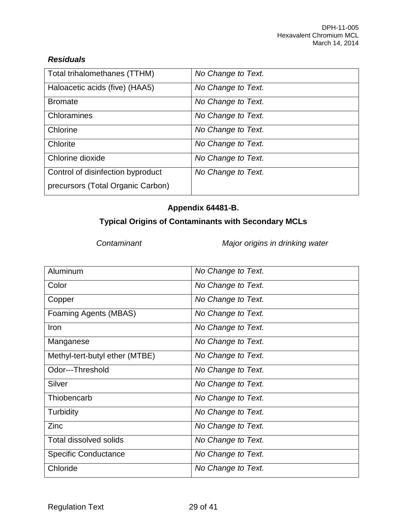## *Residuals*

| Total trihalomethanes (TTHM)      | No Change to Text. |
|-----------------------------------|--------------------|
| Haloacetic acids (five) (HAA5)    | No Change to Text. |
| <b>Bromate</b>                    | No Change to Text. |
| Chloramines                       | No Change to Text. |
| Chlorine                          | No Change to Text. |
| Chlorite                          | No Change to Text. |
| Chlorine dioxide                  | No Change to Text. |
| Control of disinfection byproduct | No Change to Text. |
| precursors (Total Organic Carbon) |                    |

## **Appendix 64481-B.**

## **Typical Origins of Contaminants with Secondary MCLs**

*Contaminant Major origins in drinking water*

| Aluminum                       | No Change to Text. |
|--------------------------------|--------------------|
| Color                          | No Change to Text. |
| Copper                         | No Change to Text. |
| Foaming Agents (MBAS)          | No Change to Text. |
| Iron                           | No Change to Text. |
| Manganese                      | No Change to Text. |
| Methyl-tert-butyl ether (MTBE) | No Change to Text. |
| Odor---Threshold               | No Change to Text. |
| Silver                         | No Change to Text. |
| Thiobencarb                    | No Change to Text. |
| Turbidity                      | No Change to Text. |
| Zinc                           | No Change to Text. |
| <b>Total dissolved solids</b>  | No Change to Text. |
| <b>Specific Conductance</b>    | No Change to Text. |
| Chloride                       | No Change to Text. |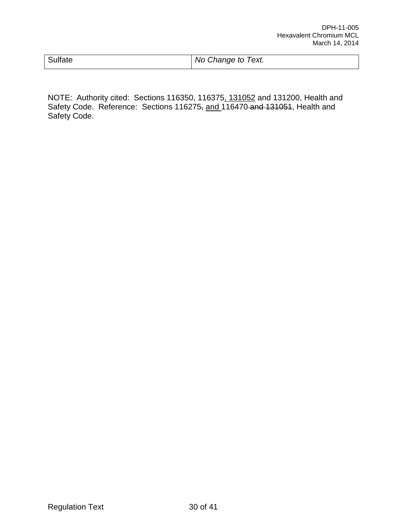| Sulfate | No Change to Text. |
|---------|--------------------|
|         |                    |

NOTE: Authority cited: Sections 116350, 116375, 131052 and 131200, Health and Safety Code. Reference: Sections 116275, and 116470 and 131051, Health and Safety Code.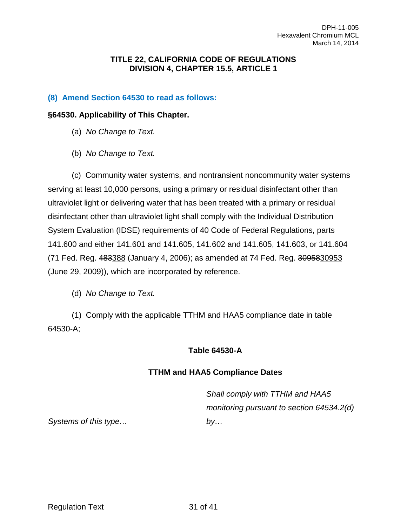#### **TITLE 22, CALIFORNIA CODE OF REGULATIONS DIVISION 4, CHAPTER 15.5, ARTICLE 1**

## **(8) Amend Section 64530 to read as follows:**

#### **§64530. Applicability of This Chapter.**

- (a) *No Change to Text.*
- (b) *No Change to Text.*

(c) Community water systems, and nontransient noncommunity water systems serving at least 10,000 persons, using a primary or residual disinfectant other than ultraviolet light or delivering water that has been treated with a primary or residual disinfectant other than ultraviolet light shall comply with the Individual Distribution System Evaluation (IDSE) requirements of 40 Code of Federal Regulations, parts 141.600 and either 141.601 and 141.605, 141.602 and 141.605, 141.603, or 141.604 (71 Fed. Reg. 483388 (January 4, 2006); as amended at 74 Fed. Reg. 3095830953 (June 29, 2009)), which are incorporated by reference.

(d) *No Change to Text.*

(1) Comply with the applicable TTHM and HAA5 compliance date in table 64530-A;

#### **Table 64530-A**

## **TTHM and HAA5 Compliance Dates**

*Shall comply with TTHM and HAA5 monitoring pursuant to section 64534.2(d) by…* 

*Systems of this type…*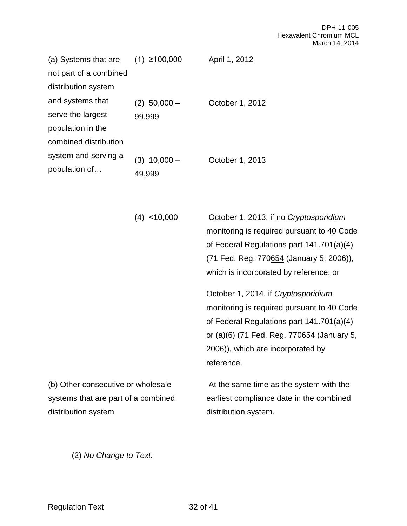| (a) Systems that are   | $(1)$ ≥100,000    | April 1, 2012   |
|------------------------|-------------------|-----------------|
| not part of a combined |                   |                 |
| distribution system    |                   |                 |
| and systems that       | $(2)$ 50,000 $-$  | October 1, 2012 |
| serve the largest      | 99,999            |                 |
| population in the      |                   |                 |
| combined distribution  |                   |                 |
| system and serving a   | $10,000 -$<br>(3) | October 1, 2013 |
| population of          | 49,999            |                 |

| $(4)$ < 10,000                                                            | October 1, 2013, if no Cryptosporidium<br>monitoring is required pursuant to 40 Code<br>of Federal Regulations part 141.701(a)(4)<br>(71 Fed. Reg. 770654 (January 5, 2006)),<br>which is incorporated by reference; or         |
|---------------------------------------------------------------------------|---------------------------------------------------------------------------------------------------------------------------------------------------------------------------------------------------------------------------------|
|                                                                           | October 1, 2014, if Cryptosporidium<br>monitoring is required pursuant to 40 Code<br>of Federal Regulations part 141.701(a)(4)<br>or (a)(6) (71 Fed. Reg. 770654 (January 5,<br>2006)), which are incorporated by<br>reference. |
| (b) Other consecutive or wholesale<br>systems that are part of a combined | At the same time as the system with the<br>earliest compliance date in the combined                                                                                                                                             |
| distribution system                                                       | distribution system.                                                                                                                                                                                                            |

(2) *No Change to Text.*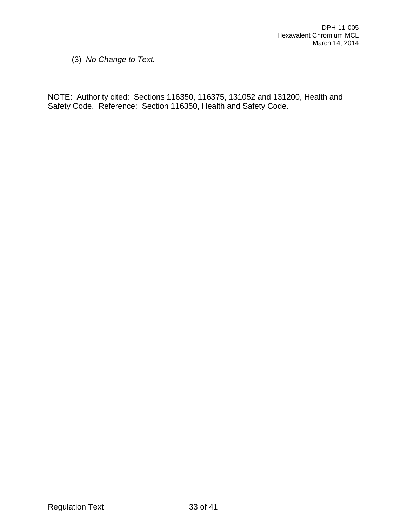(3) *No Change to Text.*

NOTE: Authority cited: Sections 116350, 116375, 131052 and 131200, Health and Safety Code. Reference: Section 116350, Health and Safety Code.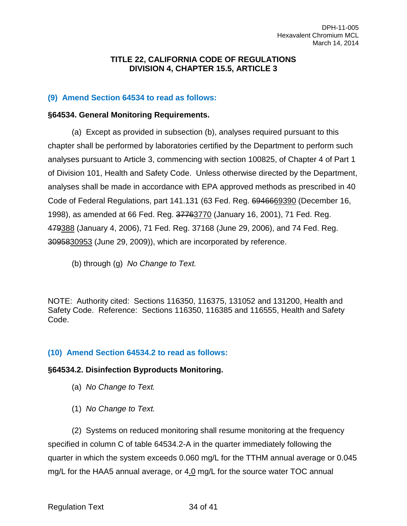#### **TITLE 22, CALIFORNIA CODE OF REGULATIONS DIVISION 4, CHAPTER 15.5, ARTICLE 3**

#### **(9) Amend Section 64534 to read as follows:**

#### **§64534. General Monitoring Requirements.**

(a) Except as provided in subsection (b), analyses required pursuant to this chapter shall be performed by laboratories certified by the Department to perform such analyses pursuant to Article 3, commencing with section 100825, of Chapter 4 of Part 1 of Division 101, Health and Safety Code. Unless otherwise directed by the Department, analyses shall be made in accordance with EPA approved methods as prescribed in 40 Code of Federal Regulations, part 141.131 (63 Fed. Reg. 6946669390 (December 16, 1998), as amended at 66 Fed. Reg. 37763770 (January 16, 2001), 71 Fed. Reg. 479388 (January 4, 2006), 71 Fed. Reg. 37168 (June 29, 2006), and 74 Fed. Reg. 3095830953 (June 29, 2009)), which are incorporated by reference.

(b) through (g) *No Change to Text.*

NOTE: Authority cited: Sections 116350, 116375, 131052 and 131200, Health and Safety Code. Reference: Sections 116350, 116385 and 116555, Health and Safety Code.

#### **(10) Amend Section 64534.2 to read as follows:**

#### **§64534.2. Disinfection Byproducts Monitoring.**

- (a) *No Change to Text.*
- (1) *No Change to Text.*

(2) Systems on reduced monitoring shall resume monitoring at the frequency specified in column C of table 64534.2-A in the quarter immediately following the quarter in which the system exceeds 0.060 mg/L for the TTHM annual average or 0.045 mg/L for the HAA5 annual average, or 4.0 mg/L for the source water TOC annual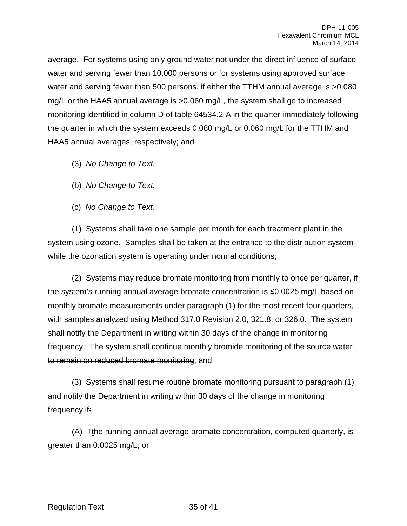average. For systems using only ground water not under the direct influence of surface water and serving fewer than 10,000 persons or for systems using approved surface water and serving fewer than 500 persons, if either the TTHM annual average is  $>0.080$ mg/L or the HAA5 annual average is >0.060 mg/L, the system shall go to increased monitoring identified in column D of table 64534.2-A in the quarter immediately following the quarter in which the system exceeds 0.080 mg/L or 0.060 mg/L for the TTHM and HAA5 annual averages, respectively; and

- (3) *No Change to Text.*
- (b) *No Change to Text.*
- (c) *No Change to Text.*

(1) Systems shall take one sample per month for each treatment plant in the system using ozone. Samples shall be taken at the entrance to the distribution system while the ozonation system is operating under normal conditions;

(2) Systems may reduce bromate monitoring from monthly to once per quarter, if the system's running annual average bromate concentration is ≤0.0025 mg/L based on monthly bromate measurements under paragraph (1) for the most recent four quarters, with samples analyzed using Method 317.0 Revision 2.0, 321.8, or 326.0. The system shall notify the Department in writing within 30 days of the change in monitoring frequency. The system shall continue monthly bromide monitoring of the source water to remain on reduced bromate monitoring; and

(3) Systems shall resume routine bromate monitoring pursuant to paragraph (1) and notify the Department in writing within 30 days of the change in monitoring frequency if:

(A) Tthe running annual average bromate concentration, computed quarterly, is greater than 0.0025 mg/L; or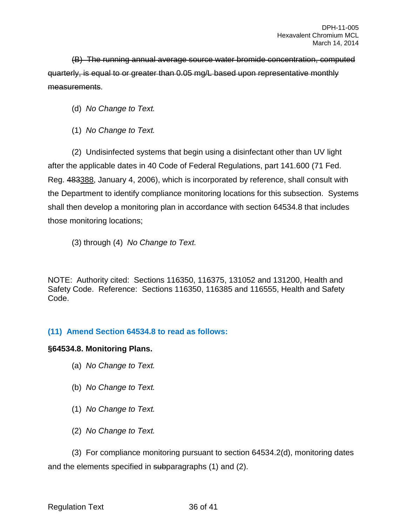(B) The running annual average source water bromide concentration, computed quarterly, is equal to or greater than 0.05 mg/L based upon representative monthly measurements.

(d) *No Change to Text.*

(1) *No Change to Text.*

(2) Undisinfected systems that begin using a disinfectant other than UV light after the applicable dates in 40 Code of Federal Regulations, part 141.600 (71 Fed. Reg. 483388, January 4, 2006), which is incorporated by reference, shall consult with the Department to identify compliance monitoring locations for this subsection. Systems shall then develop a monitoring plan in accordance with section 64534.8 that includes those monitoring locations;

(3) through (4) *No Change to Text.*

NOTE: Authority cited: Sections 116350, 116375, 131052 and 131200, Health and Safety Code. Reference: Sections 116350, 116385 and 116555, Health and Safety Code.

## **(11) Amend Section 64534.8 to read as follows:**

#### **§64534.8. Monitoring Plans.**

- (a) *No Change to Text.*
- (b) *No Change to Text.*
- (1) *No Change to Text.*
- (2) *No Change to Text.*

(3) For compliance monitoring pursuant to section 64534.2(d), monitoring dates and the elements specified in subparagraphs (1) and (2).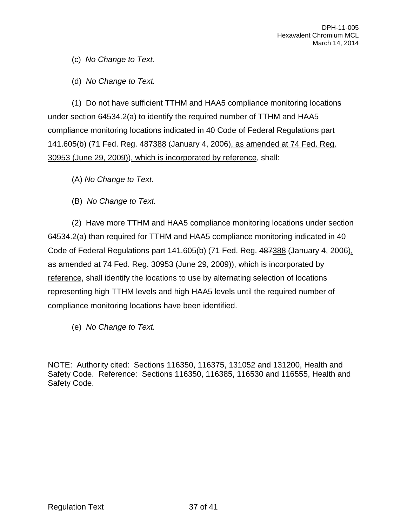(c) *No Change to Text.*

(d) *No Change to Text.*

(1) Do not have sufficient TTHM and HAA5 compliance monitoring locations under section 64534.2(a) to identify the required number of TTHM and HAA5 compliance monitoring locations indicated in 40 Code of Federal Regulations part 141.605(b) (71 Fed. Reg. 487388 (January 4, 2006), as amended at 74 Fed. Reg. 30953 (June 29, 2009)), which is incorporated by reference, shall:

(A) *No Change to Text.*

(B) *No Change to Text.*

(2) Have more TTHM and HAA5 compliance monitoring locations under section 64534.2(a) than required for TTHM and HAA5 compliance monitoring indicated in 40 Code of Federal Regulations part 141.605(b) (71 Fed. Reg. 487388 (January 4, 2006), as amended at 74 Fed. Reg. 30953 (June 29, 2009)), which is incorporated by reference, shall identify the locations to use by alternating selection of locations representing high TTHM levels and high HAA5 levels until the required number of compliance monitoring locations have been identified.

(e) *No Change to Text.*

NOTE: Authority cited: Sections 116350, 116375, 131052 and 131200, Health and Safety Code. Reference: Sections 116350, 116385, 116530 and 116555, Health and Safety Code.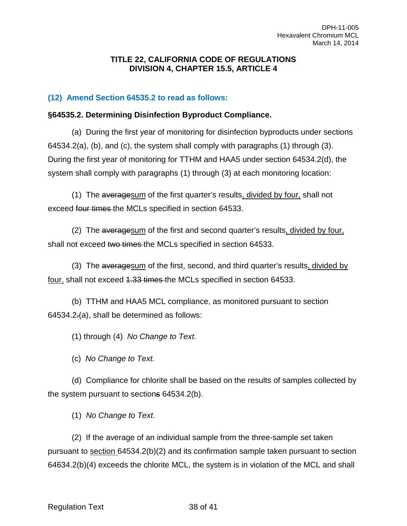#### **TITLE 22, CALIFORNIA CODE OF REGULATIONS DIVISION 4, CHAPTER 15.5, ARTICLE 4**

## **(12) Amend Section 64535.2 to read as follows:**

#### **§64535.2. Determining Disinfection Byproduct Compliance.**

(a) During the first year of monitoring for disinfection byproducts under sections 64534.2(a), (b), and (c), the system shall comply with paragraphs (1) through (3). During the first year of monitoring for TTHM and HAA5 under section 64534.2(d), the system shall comply with paragraphs (1) through (3) at each monitoring location:

(1) The averagesum of the first quarter's results, divided by four, shall not exceed four times the MCLs specified in section 64533.

(2) The averagesum of the first and second quarter's results, divided by four, shall not exceed two times the MCLs specified in section 64533.

(3) The averagesum of the first, second, and third quarter's results, divided by four, shall not exceed 4.33 times the MCLs specified in section 64533.

(b) TTHM and HAA5 MCL compliance, as monitored pursuant to section 64534.2.(a), shall be determined as follows:

(1) through (4) *No Change to Text.*

(c) *No Change to Text.*

(d) Compliance for chlorite shall be based on the results of samples collected by the system pursuant to sections 64534.2(b).

(1) *No Change to Text*.

(2) If the average of an individual sample from the three-sample set taken pursuant to section 64534.2(b)(2) and its confirmation sample taken pursuant to section 64634.2(b)(4) exceeds the chlorite MCL, the system is in violation of the MCL and shall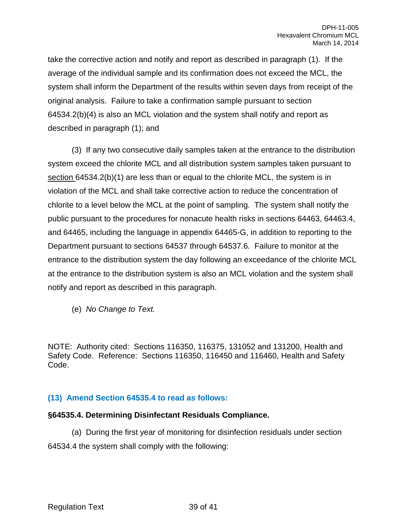take the corrective action and notify and report as described in paragraph (1). If the average of the individual sample and its confirmation does not exceed the MCL, the system shall inform the Department of the results within seven days from receipt of the original analysis. Failure to take a confirmation sample pursuant to section 64534.2(b)(4) is also an MCL violation and the system shall notify and report as described in paragraph (1); and

(3) If any two consecutive daily samples taken at the entrance to the distribution system exceed the chlorite MCL and all distribution system samples taken pursuant to section 64534.2(b)(1) are less than or equal to the chlorite MCL, the system is in violation of the MCL and shall take corrective action to reduce the concentration of chlorite to a level below the MCL at the point of sampling. The system shall notify the public pursuant to the procedures for nonacute health risks in sections 64463, 64463.4, and 64465, including the language in appendix 64465-G, in addition to reporting to the Department pursuant to sections 64537 through 64537.6. Failure to monitor at the entrance to the distribution system the day following an exceedance of the chlorite MCL at the entrance to the distribution system is also an MCL violation and the system shall notify and report as described in this paragraph.

(e) *No Change to Text.*

NOTE: Authority cited: Sections 116350, 116375, 131052 and 131200, Health and Safety Code. Reference: Sections 116350, 116450 and 116460, Health and Safety Code.

## **(13) Amend Section 64535.4 to read as follows:**

#### **§64535.4. Determining Disinfectant Residuals Compliance.**

(a) During the first year of monitoring for disinfection residuals under section 64534.4 the system shall comply with the following: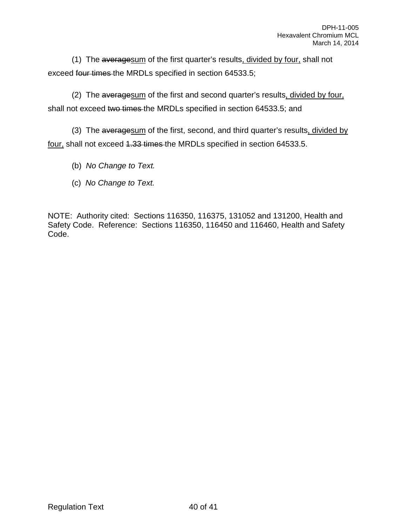(1) The averagesum of the first quarter's results, divided by four, shall not exceed four times the MRDLs specified in section 64533.5;

(2) The averagesum of the first and second quarter's results, divided by four, shall not exceed two times the MRDLs specified in section 64533.5; and

(3) The averagesum of the first, second, and third quarter's results, divided by four, shall not exceed 4.33 times the MRDLs specified in section 64533.5.

(b) *No Change to Text.*

(c) *No Change to Text.*

NOTE: Authority cited: Sections 116350, 116375, 131052 and 131200, Health and Safety Code. Reference: Sections 116350, 116450 and 116460, Health and Safety Code.